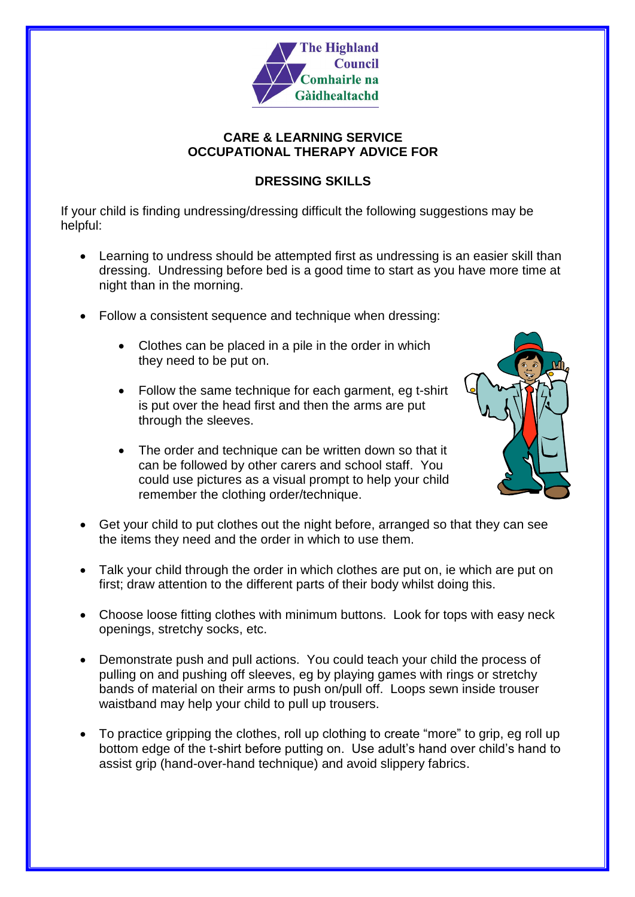

### **CARE & LEARNING SERVICE OCCUPATIONAL THERAPY ADVICE FOR**

## **DRESSING SKILLS**

If your child is finding undressing/dressing difficult the following suggestions may be helpful:

- Learning to undress should be attempted first as undressing is an easier skill than dressing. Undressing before bed is a good time to start as you have more time at night than in the morning.
- Follow a consistent sequence and technique when dressing:
	- Clothes can be placed in a pile in the order in which they need to be put on.
	- Follow the same technique for each garment, eg t-shirt is put over the head first and then the arms are put through the sleeves.
	- The order and technique can be written down so that it can be followed by other carers and school staff. You could use pictures as a visual prompt to help your child remember the clothing order/technique.



- Get your child to put clothes out the night before, arranged so that they can see the items they need and the order in which to use them.
- Talk your child through the order in which clothes are put on, ie which are put on first; draw attention to the different parts of their body whilst doing this.
- Choose loose fitting clothes with minimum buttons. Look for tops with easy neck openings, stretchy socks, etc.
- Demonstrate push and pull actions. You could teach your child the process of pulling on and pushing off sleeves, eg by playing games with rings or stretchy bands of material on their arms to push on/pull off. Loops sewn inside trouser waistband may help your child to pull up trousers.
- To practice gripping the clothes, roll up clothing to create "more" to grip, eg roll up bottom edge of the t-shirt before putting on. Use adult's hand over child's hand to assist grip (hand-over-hand technique) and avoid slippery fabrics.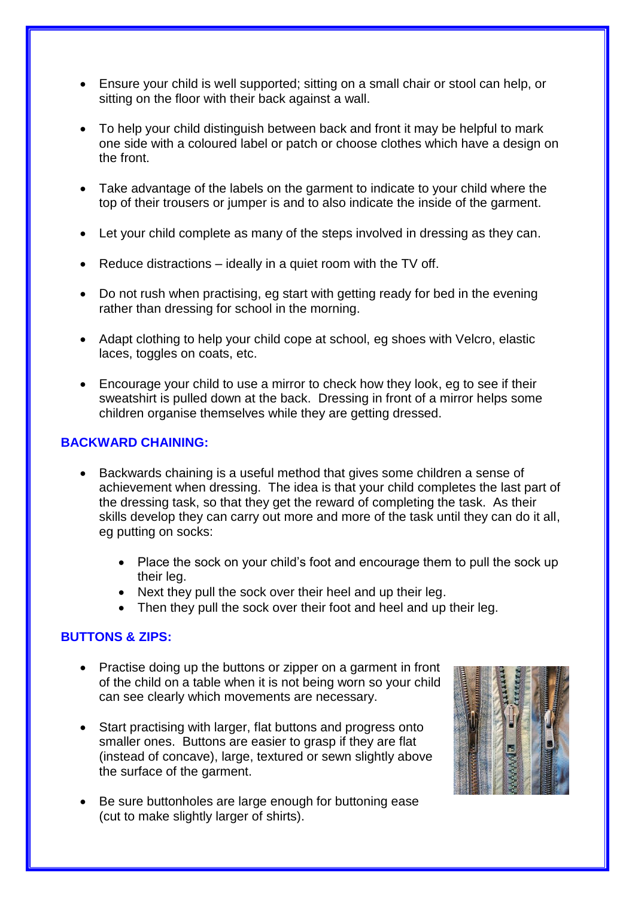- Ensure your child is well supported; sitting on a small chair or stool can help, or sitting on the floor with their back against a wall.
- To help your child distinguish between back and front it may be helpful to mark one side with a coloured label or patch or choose clothes which have a design on the front.
- Take advantage of the labels on the garment to indicate to your child where the top of their trousers or jumper is and to also indicate the inside of the garment.
- Let your child complete as many of the steps involved in dressing as they can.
- $\bullet$  Reduce distractions ideally in a quiet room with the TV off.
- Do not rush when practising, eg start with getting ready for bed in the evening rather than dressing for school in the morning.
- Adapt clothing to help your child cope at school, eg shoes with Velcro, elastic laces, toggles on coats, etc.
- Encourage your child to use a mirror to check how they look, eg to see if their sweatshirt is pulled down at the back. Dressing in front of a mirror helps some children organise themselves while they are getting dressed.

## **BACKWARD CHAINING:**

- Backwards chaining is a useful method that gives some children a sense of achievement when dressing. The idea is that your child completes the last part of the dressing task, so that they get the reward of completing the task. As their skills develop they can carry out more and more of the task until they can do it all, eg putting on socks:
	- Place the sock on your child's foot and encourage them to pull the sock up their leg.
	- Next they pull the sock over their heel and up their leg.
	- Then they pull the sock over their foot and heel and up their leg.

## **BUTTONS & ZIPS:**

- Practise doing up the buttons or zipper on a garment in front of the child on a table when it is not being worn so your child can see clearly which movements are necessary.
- Start practising with larger, flat buttons and progress onto smaller ones. Buttons are easier to grasp if they are flat (instead of concave), large, textured or sewn slightly above the surface of the garment.
- Be sure buttonholes are large enough for buttoning ease (cut to make slightly larger of shirts).

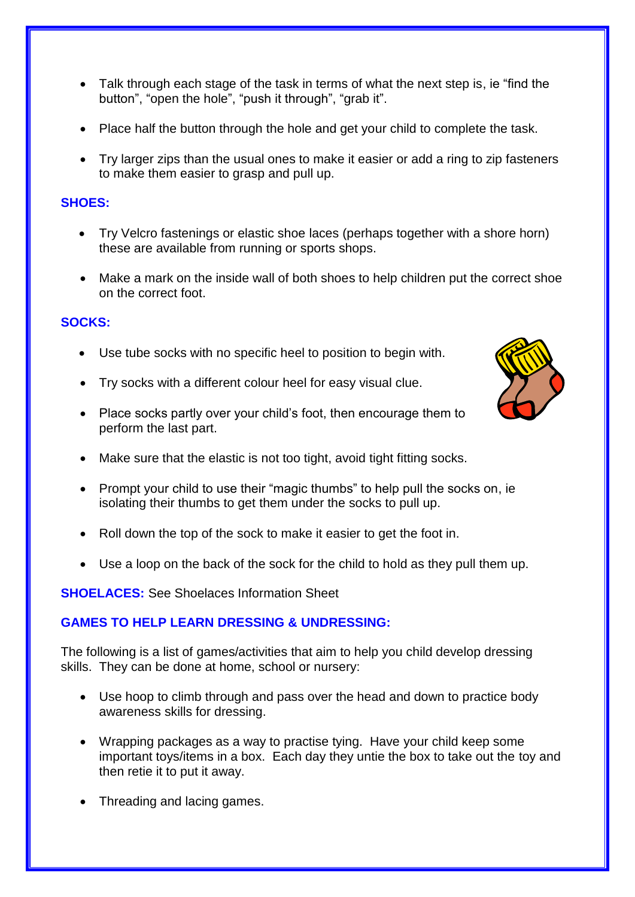- Talk through each stage of the task in terms of what the next step is, ie "find the button", "open the hole", "push it through", "grab it".
- Place half the button through the hole and get your child to complete the task.
- Try larger zips than the usual ones to make it easier or add a ring to zip fasteners to make them easier to grasp and pull up.

## **SHOES:**

- Try Velcro fastenings or elastic shoe laces (perhaps together with a shore horn) these are available from running or sports shops.
- Make a mark on the inside wall of both shoes to help children put the correct shoe on the correct foot.

## **SOCKS:**

- Use tube socks with no specific heel to position to begin with.
- Try socks with a different colour heel for easy visual clue.
- Place socks partly over your child's foot, then encourage them to perform the last part.
- Make sure that the elastic is not too tight, avoid tight fitting socks.
- Prompt your child to use their "magic thumbs" to help pull the socks on, ie isolating their thumbs to get them under the socks to pull up.
- Roll down the top of the sock to make it easier to get the foot in.
- Use a loop on the back of the sock for the child to hold as they pull them up.

**SHOELACES:** See Shoelaces Information Sheet

# **GAMES TO HELP LEARN DRESSING & UNDRESSING:**

The following is a list of games/activities that aim to help you child develop dressing skills. They can be done at home, school or nursery:

- Use hoop to climb through and pass over the head and down to practice body awareness skills for dressing.
- Wrapping packages as a way to practise tying. Have your child keep some important toys/items in a box. Each day they untie the box to take out the toy and then retie it to put it away.
- Threading and lacing games.